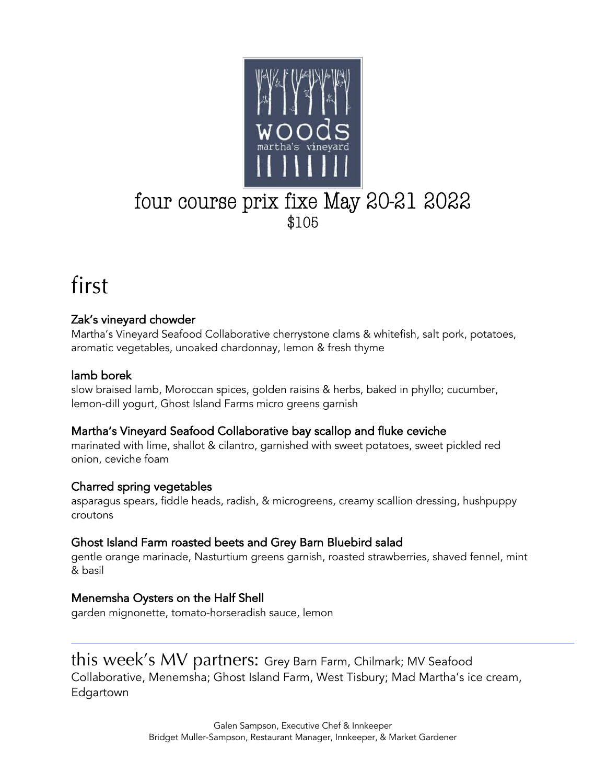

# four course prix fixe May 20-21 2022

### first

#### Zak's vineyard chowder

Martha's Vineyard Seafood Collaborative cherrystone clams & whitefish, salt pork, potatoes, aromatic vegetables, unoaked chardonnay, lemon & fresh thyme

#### lamb borek

 $\overline{a}$ 

slow braised lamb, Moroccan spices, golden raisins & herbs, baked in phyllo; cucumber, lemon-dill yogurt, Ghost Island Farms micro greens garnish

#### Martha's Vineyard Seafood Collaborative bay scallop and fluke ceviche

marinated with lime, shallot & cilantro, garnished with sweet potatoes, sweet pickled red onion, ceviche foam

#### Charred spring vegetables

asparagus spears, fiddle heads, radish, & microgreens, creamy scallion dressing, hushpuppy croutons

#### Ghost Island Farm roasted beets and Grey Barn Bluebird salad

gentle orange marinade, Nasturtium greens garnish, roasted strawberries, shaved fennel, mint & basil

#### Menemsha Oysters on the Half Shell

garden mignonette, tomato-horseradish sauce, lemon

#### this week's MV partners: Grey Barn Farm, Chilmark; MV Seafood

Collaborative, Menemsha; Ghost Island Farm, West Tisbury; Mad Martha's ice cream, Edgartown